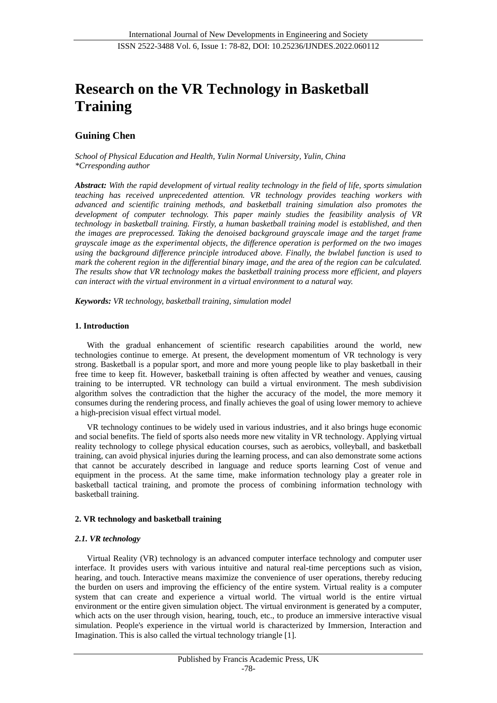# **Research on the VR Technology in Basketball Training**

## **Guining Chen**

*School of Physical Education and Health, Yulin Normal University, Yulin, China \*Crresponding author*

*Abstract: With the rapid development of virtual reality technology in the field of life, sports simulation teaching has received unprecedented attention. VR technology provides teaching workers with advanced and scientific training methods, and basketball training simulation also promotes the development of computer technology. This paper mainly studies the feasibility analysis of VR technology in basketball training. Firstly, a human basketball training model is established, and then the images are preprocessed. Taking the denoised background grayscale image and the target frame grayscale image as the experimental objects, the difference operation is performed on the two images using the background difference principle introduced above. Finally, the bwlabel function is used to mark the coherent region in the differential binary image, and the area of the region can be calculated. The results show that VR technology makes the basketball training process more efficient, and players can interact with the virtual environment in a virtual environment to a natural way.*

*Keywords: VR technology, basketball training, simulation model*

#### **1. Introduction**

With the gradual enhancement of scientific research capabilities around the world, new technologies continue to emerge. At present, the development momentum of VR technology is very strong. Basketball is a popular sport, and more and more young people like to play basketball in their free time to keep fit. However, basketball training is often affected by weather and venues, causing training to be interrupted. VR technology can build a virtual environment. The mesh subdivision algorithm solves the contradiction that the higher the accuracy of the model, the more memory it consumes during the rendering process, and finally achieves the goal of using lower memory to achieve a high-precision visual effect virtual model.

VR technology continues to be widely used in various industries, and it also brings huge economic and social benefits. The field of sports also needs more new vitality in VR technology. Applying virtual reality technology to college physical education courses, such as aerobics, volleyball, and basketball training, can avoid physical injuries during the learning process, and can also demonstrate some actions that cannot be accurately described in language and reduce sports learning Cost of venue and equipment in the process. At the same time, make information technology play a greater role in basketball tactical training, and promote the process of combining information technology with basketball training.

#### **2. VR technology and basketball training**

#### *2.1. VR technology*

Virtual Reality (VR) technology is an advanced computer interface technology and computer user interface. It provides users with various intuitive and natural real-time perceptions such as vision, hearing, and touch. Interactive means maximize the convenience of user operations, thereby reducing the burden on users and improving the efficiency of the entire system. Virtual reality is a computer system that can create and experience a virtual world. The virtual world is the entire virtual environment or the entire given simulation object. The virtual environment is generated by a computer, which acts on the user through vision, hearing, touch, etc., to produce an immersive interactive visual simulation. People's experience in the virtual world is characterized by Immersion, Interaction and Imagination. This is also called the virtual technology triangle [1].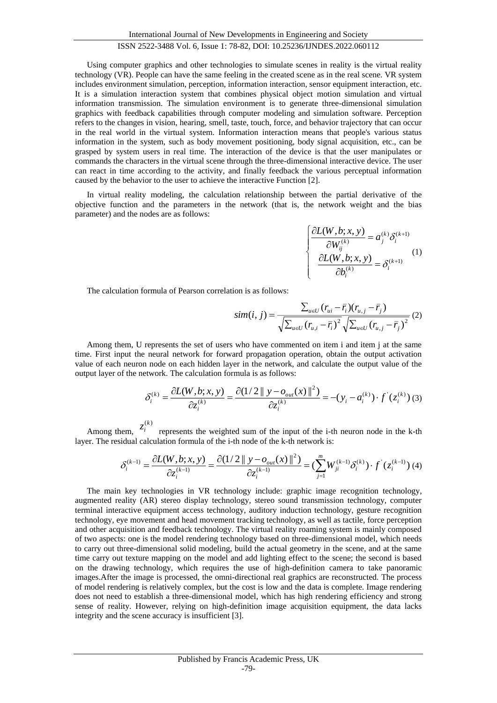Using computer graphics and other technologies to simulate scenes in reality is the virtual reality technology (VR). People can have the same feeling in the created scene as in the real scene. VR system includes environment simulation, perception, information interaction, sensor equipment interaction, etc. It is a simulation interaction system that combines physical object motion simulation and virtual information transmission. The simulation environment is to generate three-dimensional simulation graphics with feedback capabilities through computer modeling and simulation software. Perception refers to the changes in vision, hearing, smell, taste, touch, force, and behavior trajectory that can occur in the real world in the virtual system. Information interaction means that people's various status information in the system, such as body movement positioning, body signal acquisition, etc., can be grasped by system users in real time. The interaction of the device is that the user manipulates or commands the characters in the virtual scene through the three-dimensional interactive device. The user can react in time according to the activity, and finally feedback the various perceptual information caused by the behavior to the user to achieve the interactive Function [2].

In virtual reality modeling, the calculation relationship between the partial derivative of the objective function and the parameters in the network (that is, the network weight and the bias parameter) and the nodes are as follows:

$$
\begin{cases}\n\frac{\partial L(W, b; x, y)}{\partial W_{ij}^{(k)}} = a_j^{(k)} \delta_i^{(k+1)} \\
\frac{\partial L(W, b; x, y)}{\partial b_i^{(k)}} = \delta_i^{(k+1)}\n\end{cases} (1)
$$

The calculation formula of Pearson correlation is as follows:

$$
sim(i, j) = \frac{\sum_{u \in U} (r_{ui} - \bar{r}_i)(r_{u,j} - \bar{r}_j)}{\sqrt{\sum_{u \in U} (r_{u,i} - \bar{r}_i)^2} \sqrt{\sum_{u \in U} (r_{u,j} - \bar{r}_j)^2}} (2)
$$

Among them, U represents the set of users who have commented on item i and item j at the same time. First input the neural network for forward propagation operation, obtain the output activation value of each neuron node on each hidden layer in the network, and calculate the output value of the output layer of the network. The calculation formula is as follows:

$$
\delta_i^{(k)} = \frac{\partial L(W, b; x, y)}{\partial z_i^{(k)}} = \frac{\partial (1/2 \|y - o_{out}(x)\|^2)}{\partial z_i^{(k)}} = -(y_i - a_i^{(k)}) \cdot f'(z_i^{(k)}) \tag{3}
$$

Among them,  $z_i^{(k)}$ represents the weighted sum of the input of the i-th neuron node in the k-th layer. The residual calculation formula of the i-th node of the k-th network is:

$$
\delta_i^{(k-1)} = \frac{\partial L(W, b; x, y)}{\partial z_i^{(k-1)}} = \frac{\partial (1/2 || y - o_{out}(x) ||^2)}{\partial z_i^{(k-1)}} = \left( \sum_{j=1}^m W_{ji}^{(k-1)} \delta_i^{(k)} \right) \cdot f'(z_i^{(k-1)}) \tag{4}
$$

The main key technologies in VR technology include: graphic image recognition technology, augmented reality (AR) stereo display technology, stereo sound transmission technology, computer terminal interactive equipment access technology, auditory induction technology, gesture recognition technology, eye movement and head movement tracking technology, as well as tactile, force perception and other acquisition and feedback technology. The virtual reality roaming system is mainly composed of two aspects: one is the model rendering technology based on three-dimensional model, which needs to carry out three-dimensional solid modeling, build the actual geometry in the scene, and at the same time carry out texture mapping on the model and add lighting effect to the scene; the second is based on the drawing technology, which requires the use of high-definition camera to take panoramic images.After the image is processed, the omni-directional real graphics are reconstructed. The process of model rendering is relatively complex, but the cost is low and the data is complete. Image rendering does not need to establish a three-dimensional model, which has high rendering efficiency and strong sense of reality. However, relying on high-definition image acquisition equipment, the data lacks integrity and the scene accuracy is insufficient [3].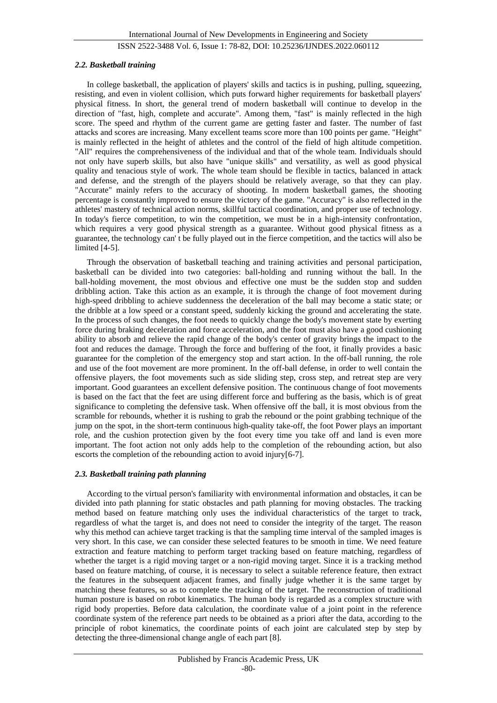#### *2.2. Basketball training*

In college basketball, the application of players' skills and tactics is in pushing, pulling, squeezing, resisting, and even in violent collision, which puts forward higher requirements for basketball players' physical fitness. In short, the general trend of modern basketball will continue to develop in the direction of "fast, high, complete and accurate". Among them, "fast" is mainly reflected in the high score. The speed and rhythm of the current game are getting faster and faster. The number of fast attacks and scores are increasing. Many excellent teams score more than 100 points per game. "Height" is mainly reflected in the height of athletes and the control of the field of high altitude competition. "All" requires the comprehensiveness of the individual and that of the whole team. Individuals should not only have superb skills, but also have "unique skills" and versatility, as well as good physical quality and tenacious style of work. The whole team should be flexible in tactics, balanced in attack and defense, and the strength of the players should be relatively average, so that they can play. "Accurate" mainly refers to the accuracy of shooting. In modern basketball games, the shooting percentage is constantly improved to ensure the victory of the game. "Accuracy" is also reflected in the athletes' mastery of technical action norms, skillful tactical coordination, and proper use of technology. In today's fierce competition, to win the competition, we must be in a high-intensity confrontation, which requires a very good physical strength as a guarantee. Without good physical fitness as a guarantee, the technology can' t be fully played out in the fierce competition, and the tactics will also be limited [4-5].

Through the observation of basketball teaching and training activities and personal participation, basketball can be divided into two categories: ball-holding and running without the ball. In the ball-holding movement, the most obvious and effective one must be the sudden stop and sudden dribbling action. Take this action as an example, it is through the change of foot movement during high-speed dribbling to achieve suddenness the deceleration of the ball may become a static state; or the dribble at a low speed or a constant speed, suddenly kicking the ground and accelerating the state. In the process of such changes, the foot needs to quickly change the body's movement state by exerting force during braking deceleration and force acceleration, and the foot must also have a good cushioning ability to absorb and relieve the rapid change of the body's center of gravity brings the impact to the foot and reduces the damage. Through the force and buffering of the foot, it finally provides a basic guarantee for the completion of the emergency stop and start action. In the off-ball running, the role and use of the foot movement are more prominent. In the off-ball defense, in order to well contain the offensive players, the foot movements such as side sliding step, cross step, and retreat step are very important. Good guarantees an excellent defensive position. The continuous change of foot movements is based on the fact that the feet are using different force and buffering as the basis, which is of great significance to completing the defensive task. When offensive off the ball, it is most obvious from the scramble for rebounds, whether it is rushing to grab the rebound or the point grabbing technique of the jump on the spot, in the short-term continuous high-quality take-off, the foot Power plays an important role, and the cushion protection given by the foot every time you take off and land is even more important. The foot action not only adds help to the completion of the rebounding action, but also escorts the completion of the rebounding action to avoid injury[6-7].

#### *2.3. Basketball training path planning*

According to the virtual person's familiarity with environmental information and obstacles, it can be divided into path planning for static obstacles and path planning for moving obstacles. The tracking method based on feature matching only uses the individual characteristics of the target to track, regardless of what the target is, and does not need to consider the integrity of the target. The reason why this method can achieve target tracking is that the sampling time interval of the sampled images is very short. In this case, we can consider these selected features to be smooth in time. We need feature extraction and feature matching to perform target tracking based on feature matching, regardless of whether the target is a rigid moving target or a non-rigid moving target. Since it is a tracking method based on feature matching, of course, it is necessary to select a suitable reference feature, then extract the features in the subsequent adjacent frames, and finally judge whether it is the same target by matching these features, so as to complete the tracking of the target. The reconstruction of traditional human posture is based on robot kinematics. The human body is regarded as a complex structure with rigid body properties. Before data calculation, the coordinate value of a joint point in the reference coordinate system of the reference part needs to be obtained as a priori after the data, according to the principle of robot kinematics, the coordinate points of each joint are calculated step by step by detecting the three-dimensional change angle of each part [8].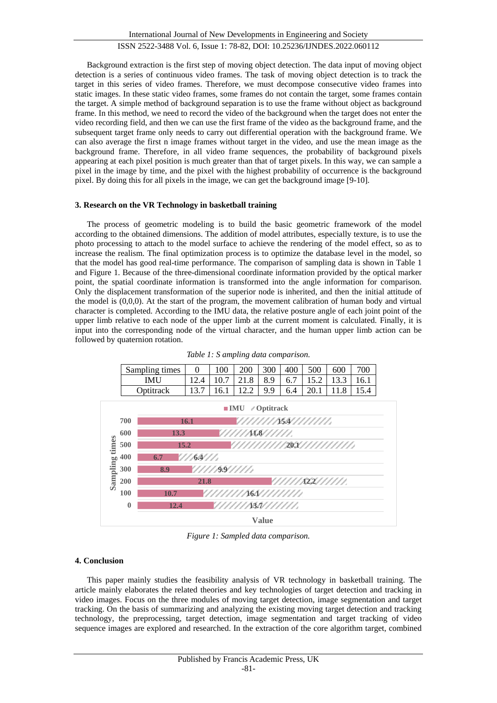Background extraction is the first step of moving object detection. The data input of moving object detection is a series of continuous video frames. The task of moving object detection is to track the target in this series of video frames. Therefore, we must decompose consecutive video frames into static images. In these static video frames, some frames do not contain the target, some frames contain the target. A simple method of background separation is to use the frame without object as background frame. In this method, we need to record the video of the background when the target does not enter the video recording field, and then we can use the first frame of the video as the background frame, and the subsequent target frame only needs to carry out differential operation with the background frame. We can also average the first n image frames without target in the video, and use the mean image as the background frame. Therefore, in all video frame sequences, the probability of background pixels appearing at each pixel position is much greater than that of target pixels. In this way, we can sample a pixel in the image by time, and the pixel with the highest probability of occurrence is the background pixel. By doing this for all pixels in the image, we can get the background image [9-10].

#### **3. Research on the VR Technology in basketball training**

**12.4**

The process of geometric modeling is to build the basic geometric framework of the model according to the obtained dimensions. The addition of model attributes, especially texture, is to use the photo processing to attach to the model surface to achieve the rendering of the model effect, so as to increase the realism. The final optimization process is to optimize the database level in the model, so that the model has good real-time performance. The comparison of sampling data is shown in Table 1 and Figure 1. Because of the three-dimensional coordinate information provided by the optical marker point, the spatial coordinate information is transformed into the angle information for comparison. Only the displacement transformation of the superior node is inherited, and then the initial attitude of the model is (0,0,0). At the start of the program, the movement calibration of human body and virtual character is completed. According to the IMU data, the relative posture angle of each joint point of the upper limb relative to each node of the upper limb at the current moment is calculated. Finally, it is input into the corresponding node of the virtual character, and the human upper limb action can be followed by quaternion rotation.



*Table 1: S ampling data comparison.*

*Figure 1: Sampled data comparison.*

**13.7**

**Value**

#### **4. Conclusion**

**0**

This paper mainly studies the feasibility analysis of VR technology in basketball training. The article mainly elaborates the related theories and key technologies of target detection and tracking in video images. Focus on the three modules of moving target detection, image segmentation and target tracking. On the basis of summarizing and analyzing the existing moving target detection and tracking technology, the preprocessing, target detection, image segmentation and target tracking of video sequence images are explored and researched. In the extraction of the core algorithm target, combined